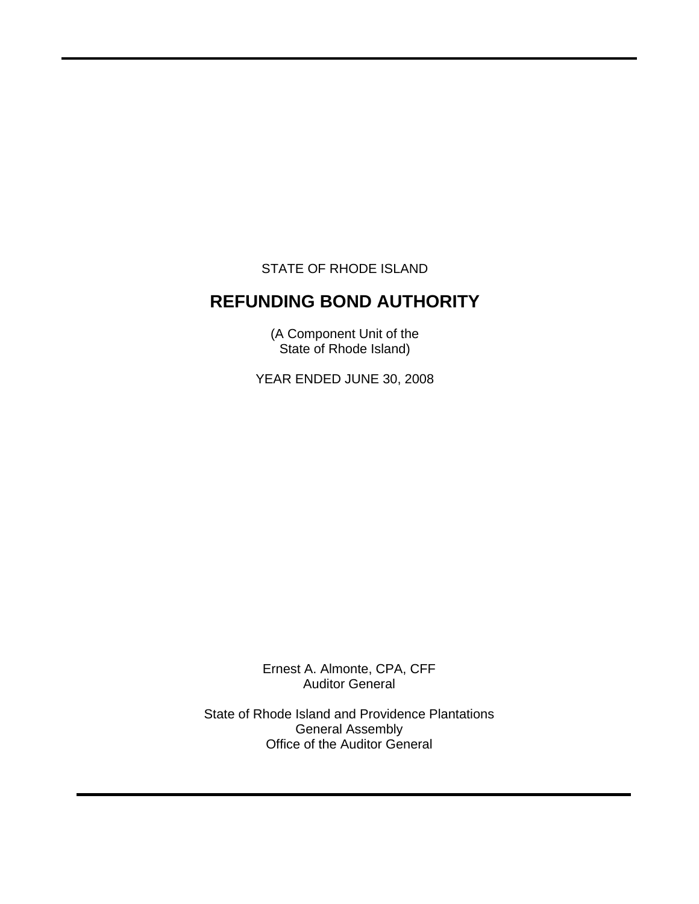STATE OF RHODE ISLAND

 $\overline{a}$ 

# **REFUNDING BOND AUTHORITY**

(A Component Unit of the State of Rhode Island)

YEAR ENDED JUNE 30, 2008

Ernest A. Almonte, CPA, CFF Auditor General

State of Rhode Island and Providence Plantations General Assembly Office of the Auditor General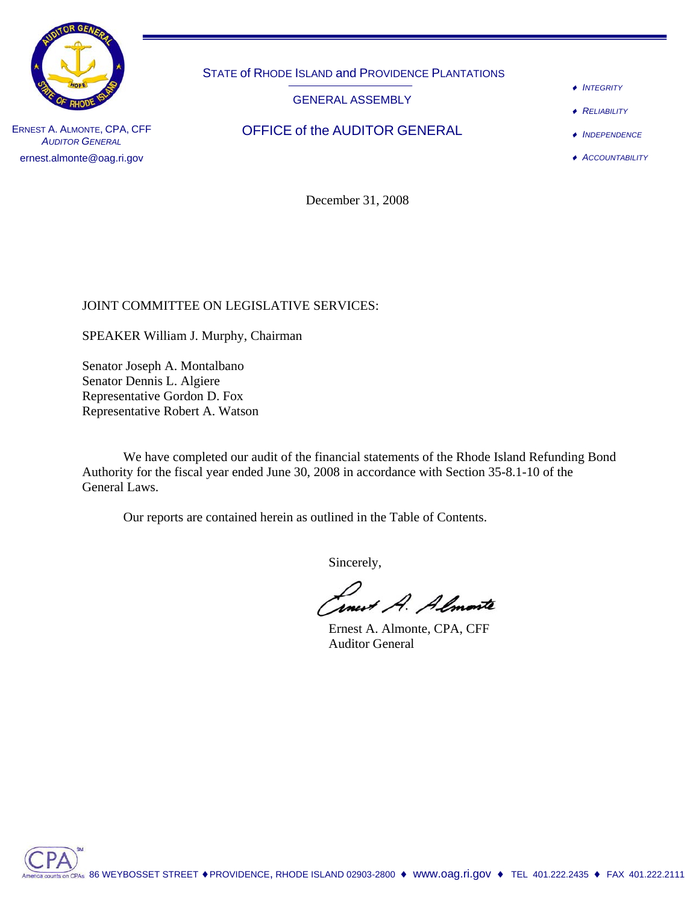

STATE of RHODE ISLAND and PROVIDENCE PLANTATIONS

GENERAL ASSEMBLY

- ♦ *INTEGRITY*
- ♦ *RELIABILITY*
- ♦ *INDEPENDENCE*

♦ *ACCOUNTABILITY*

ERNEST A. ALMONTE, CPA, CFF **OFFICE of the AUDITOR GENERAL AUDITOR GENERAL** ernest.almonte@oag.ri.gov

December 31, 2008

## JOINT COMMITTEE ON LEGISLATIVE SERVICES:

SPEAKER William J. Murphy, Chairman

Senator Joseph A. Montalbano Senator Dennis L. Algiere Representative Gordon D. Fox Representative Robert A. Watson

 We have completed our audit of the financial statements of the Rhode Island Refunding Bond Authority for the fiscal year ended June 30, 2008 in accordance with Section 35-8.1-10 of the General Laws.

Our reports are contained herein as outlined in the Table of Contents.

Sincerely,

anurt A. Almante

 Ernest A. Almonte, CPA, CFF Auditor General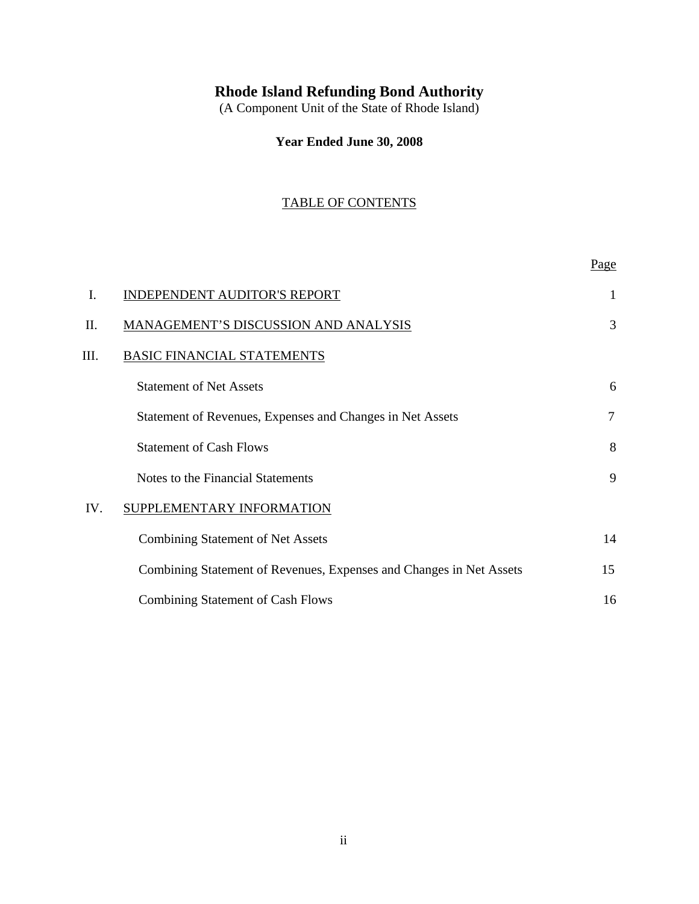# **Rhode Island Refunding Bond Authority**

(A Component Unit of the State of Rhode Island)

**Year Ended June 30, 2008**

## TABLE OF CONTENTS

|     |                                                                     | Page |
|-----|---------------------------------------------------------------------|------|
| Ι.  | <b>INDEPENDENT AUDITOR'S REPORT</b>                                 | 1    |
| Π.  | MANAGEMENT'S DISCUSSION AND ANALYSIS                                | 3    |
| Ш.  | <b>BASIC FINANCIAL STATEMENTS</b>                                   |      |
|     | <b>Statement of Net Assets</b>                                      | 6    |
|     | Statement of Revenues, Expenses and Changes in Net Assets           | 7    |
|     | <b>Statement of Cash Flows</b>                                      | 8    |
|     | Notes to the Financial Statements                                   | 9    |
| IV. | SUPPLEMENTARY INFORMATION                                           |      |
|     | <b>Combining Statement of Net Assets</b>                            | 14   |
|     | Combining Statement of Revenues, Expenses and Changes in Net Assets | 15   |
|     | <b>Combining Statement of Cash Flows</b>                            | 16   |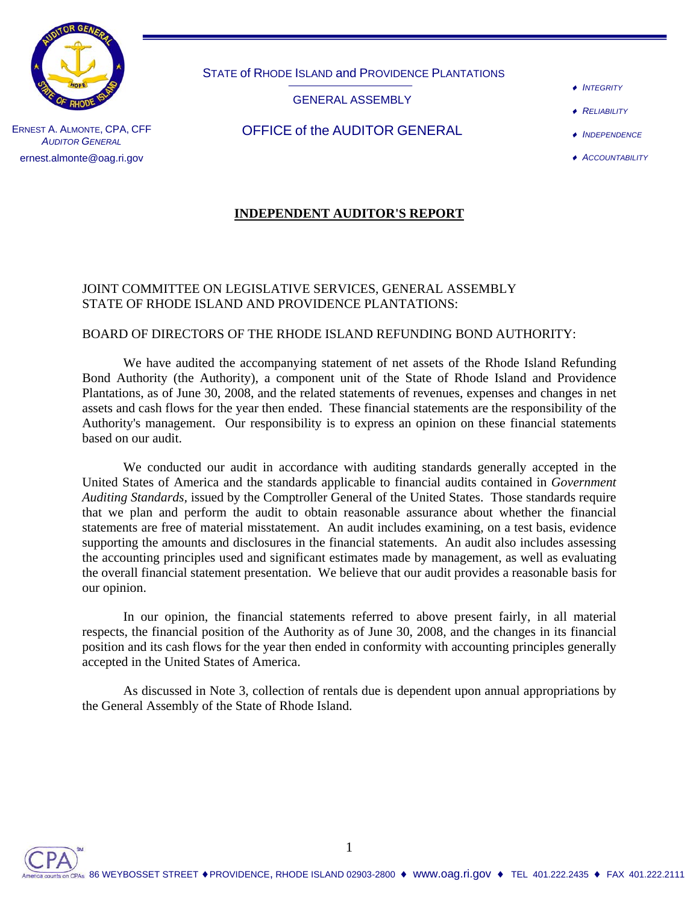

STATE of RHODE ISLAND and PROVIDENCE PLANTATIONS

GENERAL ASSEMBLY

- ♦ *INTEGRITY*
- **RELIABILITY**

ERNEST A. ALMONTE, CPA, CFF **AUDITOR GENERAL** ernest.almonte@oag.ri.gov

## OFFICE of the AUDITOR GENERAL

- ♦ *INDEPENDENCE*
- ♦ *ACCOUNTABILITY*

## **INDEPENDENT AUDITOR'S REPORT**

## JOINT COMMITTEE ON LEGISLATIVE SERVICES, GENERAL ASSEMBLY STATE OF RHODE ISLAND AND PROVIDENCE PLANTATIONS:

## BOARD OF DIRECTORS OF THE RHODE ISLAND REFUNDING BOND AUTHORITY:

We have audited the accompanying statement of net assets of the Rhode Island Refunding Bond Authority (the Authority), a component unit of the State of Rhode Island and Providence Plantations, as of June 30, 2008, and the related statements of revenues, expenses and changes in net assets and cash flows for the year then ended. These financial statements are the responsibility of the Authority's management. Our responsibility is to express an opinion on these financial statements based on our audit.

We conducted our audit in accordance with auditing standards generally accepted in the United States of America and the standards applicable to financial audits contained in *Government Auditing Standards,* issued by the Comptroller General of the United States. Those standards require that we plan and perform the audit to obtain reasonable assurance about whether the financial statements are free of material misstatement. An audit includes examining, on a test basis, evidence supporting the amounts and disclosures in the financial statements. An audit also includes assessing the accounting principles used and significant estimates made by management, as well as evaluating the overall financial statement presentation. We believe that our audit provides a reasonable basis for our opinion.

In our opinion, the financial statements referred to above present fairly, in all material respects, the financial position of the Authority as of June 30, 2008, and the changes in its financial position and its cash flows for the year then ended in conformity with accounting principles generally accepted in the United States of America.

As discussed in Note 3, collection of rentals due is dependent upon annual appropriations by the General Assembly of the State of Rhode Island.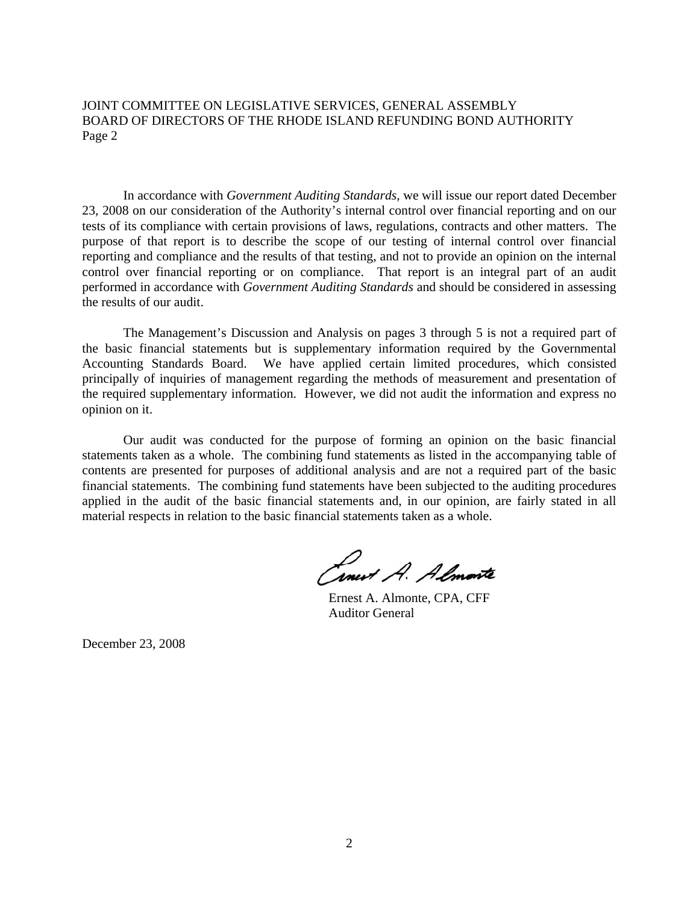JOINT COMMITTEE ON LEGISLATIVE SERVICES, GENERAL ASSEMBLY BOARD OF DIRECTORS OF THE RHODE ISLAND REFUNDING BOND AUTHORITY Page 2

In accordance with *Government Auditing Standards*, we will issue our report dated December 23, 2008 on our consideration of the Authority's internal control over financial reporting and on our tests of its compliance with certain provisions of laws, regulations, contracts and other matters. The purpose of that report is to describe the scope of our testing of internal control over financial reporting and compliance and the results of that testing, and not to provide an opinion on the internal control over financial reporting or on compliance. That report is an integral part of an audit performed in accordance with *Government Auditing Standards* and should be considered in assessing the results of our audit.

The Management's Discussion and Analysis on pages 3 through 5 is not a required part of the basic financial statements but is supplementary information required by the Governmental Accounting Standards Board. We have applied certain limited procedures, which consisted principally of inquiries of management regarding the methods of measurement and presentation of the required supplementary information. However, we did not audit the information and express no opinion on it.

Our audit was conducted for the purpose of forming an opinion on the basic financial statements taken as a whole. The combining fund statements as listed in the accompanying table of contents are presented for purposes of additional analysis and are not a required part of the basic financial statements. The combining fund statements have been subjected to the auditing procedures applied in the audit of the basic financial statements and, in our opinion, are fairly stated in all material respects in relation to the basic financial statements taken as a whole.

Concert A. Almonte

 Ernest A. Almonte, CPA, CFF Auditor General

December 23, 2008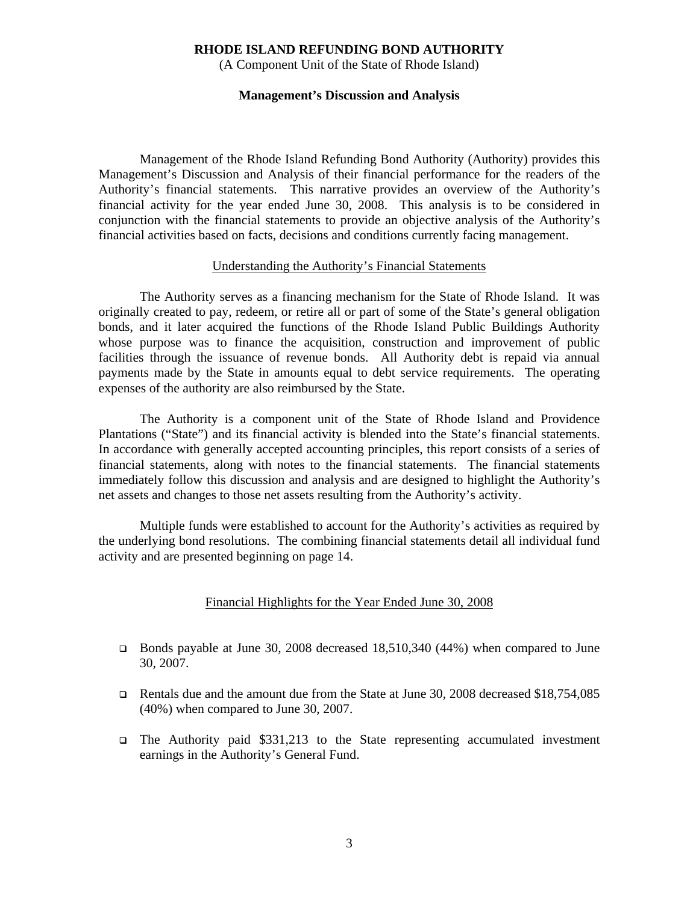(A Component Unit of the State of Rhode Island)

#### **Management's Discussion and Analysis**

Management of the Rhode Island Refunding Bond Authority (Authority) provides this Management's Discussion and Analysis of their financial performance for the readers of the Authority's financial statements. This narrative provides an overview of the Authority's financial activity for the year ended June 30, 2008. This analysis is to be considered in conjunction with the financial statements to provide an objective analysis of the Authority's financial activities based on facts, decisions and conditions currently facing management.

#### Understanding the Authority's Financial Statements

The Authority serves as a financing mechanism for the State of Rhode Island. It was originally created to pay, redeem, or retire all or part of some of the State's general obligation bonds, and it later acquired the functions of the Rhode Island Public Buildings Authority whose purpose was to finance the acquisition, construction and improvement of public facilities through the issuance of revenue bonds. All Authority debt is repaid via annual payments made by the State in amounts equal to debt service requirements. The operating expenses of the authority are also reimbursed by the State.

 The Authority is a component unit of the State of Rhode Island and Providence Plantations ("State") and its financial activity is blended into the State's financial statements. In accordance with generally accepted accounting principles, this report consists of a series of financial statements, along with notes to the financial statements. The financial statements immediately follow this discussion and analysis and are designed to highlight the Authority's net assets and changes to those net assets resulting from the Authority's activity.

 Multiple funds were established to account for the Authority's activities as required by the underlying bond resolutions. The combining financial statements detail all individual fund activity and are presented beginning on page 14.

#### Financial Highlights for the Year Ended June 30, 2008

- Bonds payable at June 30, 2008 decreased 18,510,340 (44%) when compared to June 30, 2007.
- Rentals due and the amount due from the State at June 30, 2008 decreased \$18,754,085 (40%) when compared to June 30, 2007.
- The Authority paid \$331,213 to the State representing accumulated investment earnings in the Authority's General Fund.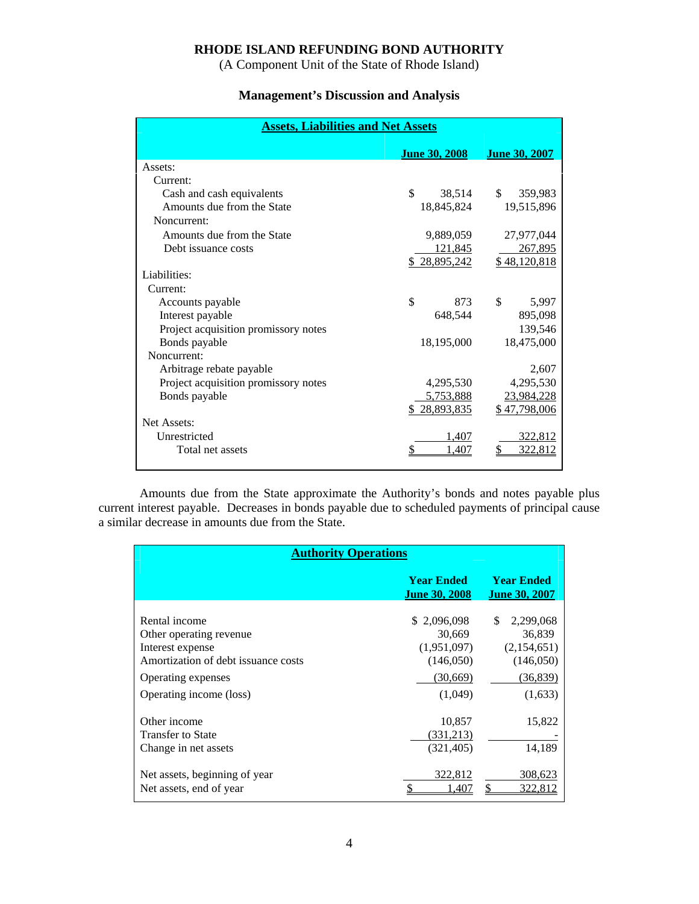(A Component Unit of the State of Rhode Island)

## **Management's Discussion and Analysis**

| <b>Assets, Liabilities and Net Assets</b> |                      |                      |  |  |  |
|-------------------------------------------|----------------------|----------------------|--|--|--|
|                                           | <b>June 30, 2008</b> | <b>June 30, 2007</b> |  |  |  |
| Assets:                                   |                      |                      |  |  |  |
| Current:                                  |                      |                      |  |  |  |
| Cash and cash equivalents                 | \$<br>38,514         | \$.<br>359,983       |  |  |  |
| Amounts due from the State                | 18,845,824           | 19,515,896           |  |  |  |
| Noncurrent:                               |                      |                      |  |  |  |
| Amounts due from the State                | 9,889,059            | 27,977,044           |  |  |  |
| Debt issuance costs                       | 121,845              | 267,895              |  |  |  |
|                                           | \$28,895,242         | \$48,120,818         |  |  |  |
| Liabilities:                              |                      |                      |  |  |  |
| Current:                                  |                      |                      |  |  |  |
| Accounts payable                          | \$<br>873            | \$<br>5,997          |  |  |  |
| Interest payable                          | 648,544              | 895,098              |  |  |  |
| Project acquisition promissory notes      |                      | 139,546              |  |  |  |
| Bonds payable                             | 18,195,000           | 18,475,000           |  |  |  |
| Noncurrent:                               |                      |                      |  |  |  |
| Arbitrage rebate payable                  |                      | 2,607                |  |  |  |
| Project acquisition promissory notes      | 4,295,530            | 4,295,530            |  |  |  |
| Bonds payable                             | 5,753,888            | 23,984,228           |  |  |  |
|                                           | 28,893,835           | \$47,798,006         |  |  |  |
| Net Assets:                               |                      |                      |  |  |  |
| Unrestricted                              | 1,407                | 322,812              |  |  |  |
| Total net assets                          | 1.407                | 322.812              |  |  |  |
|                                           |                      |                      |  |  |  |

 Amounts due from the State approximate the Authority's bonds and notes payable plus current interest payable. Decreases in bonds payable due to scheduled payments of principal cause a similar decrease in amounts due from the State.

| <b>Authority Operations</b>                                                                                                                          |                                                                          |                                                                                |  |  |  |
|------------------------------------------------------------------------------------------------------------------------------------------------------|--------------------------------------------------------------------------|--------------------------------------------------------------------------------|--|--|--|
|                                                                                                                                                      | <b>Year Ended</b><br><b>June 30, 2008</b>                                | <b>Year Ended</b><br><u>June 30, 2007</u>                                      |  |  |  |
| Rental income<br>Other operating revenue<br>Interest expense<br>Amortization of debt issuance costs<br>Operating expenses<br>Operating income (loss) | \$2,096,098<br>30,669<br>(1,951,097)<br>(146,050)<br>(30,669)<br>(1,049) | \$.<br>2,299,068<br>36,839<br>(2,154,651)<br>(146,050)<br>(36, 839)<br>(1,633) |  |  |  |
| Other income<br>Transfer to State<br>Change in net assets<br>Net assets, beginning of year                                                           | 10,857<br>(331,213)<br>(321, 405)<br>322,812                             | 15,822<br>14,189<br>308,623                                                    |  |  |  |
| Net assets, end of year                                                                                                                              | ¢<br>1.407                                                               | 322.812                                                                        |  |  |  |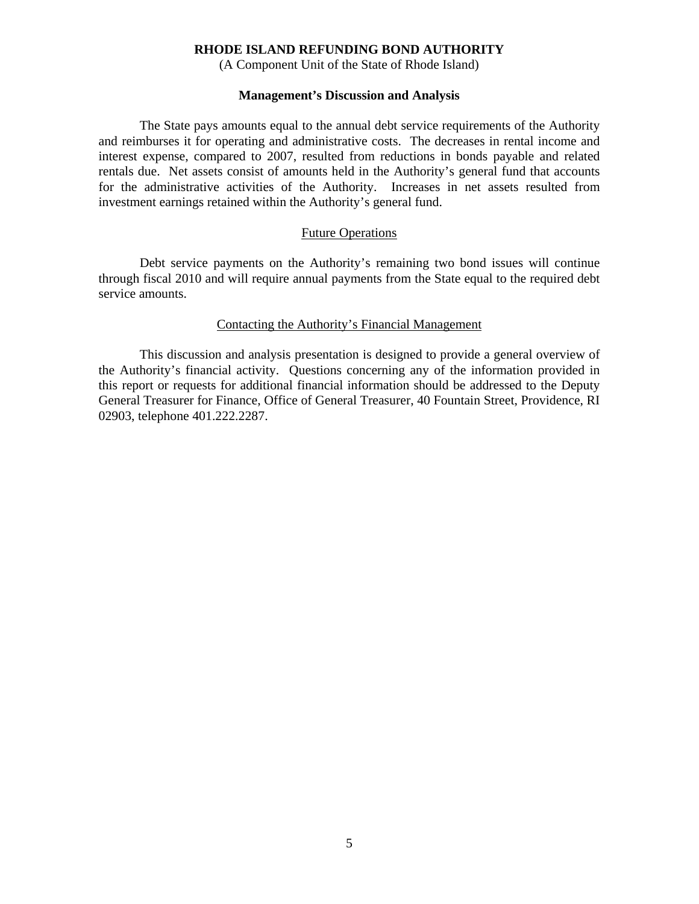(A Component Unit of the State of Rhode Island)

#### **Management's Discussion and Analysis**

 The State pays amounts equal to the annual debt service requirements of the Authority and reimburses it for operating and administrative costs. The decreases in rental income and interest expense, compared to 2007, resulted from reductions in bonds payable and related rentals due. Net assets consist of amounts held in the Authority's general fund that accounts for the administrative activities of the Authority. Increases in net assets resulted from investment earnings retained within the Authority's general fund.

#### Future Operations

 Debt service payments on the Authority's remaining two bond issues will continue through fiscal 2010 and will require annual payments from the State equal to the required debt service amounts.

#### Contacting the Authority's Financial Management

 This discussion and analysis presentation is designed to provide a general overview of the Authority's financial activity. Questions concerning any of the information provided in this report or requests for additional financial information should be addressed to the Deputy General Treasurer for Finance, Office of General Treasurer, 40 Fountain Street, Providence, RI 02903, telephone 401.222.2287.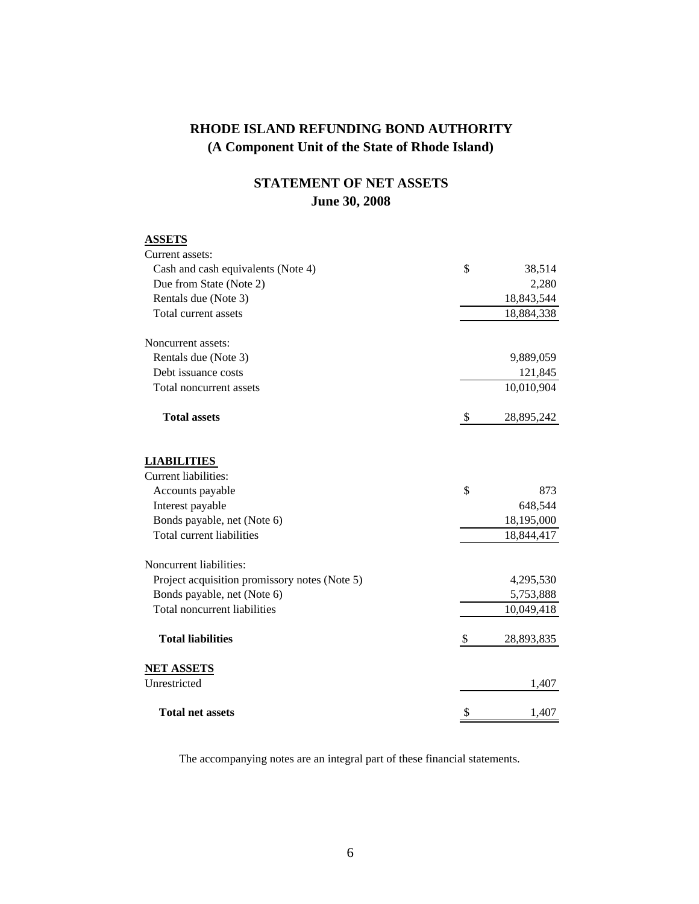## **STATEMENT OF NET ASSETS June 30, 2008**

| <b>ASSETS</b>                                 |                  |
|-----------------------------------------------|------------------|
| Current assets:                               |                  |
| Cash and cash equivalents (Note 4)            | \$<br>38,514     |
| Due from State (Note 2)                       | 2,280            |
| Rentals due (Note 3)                          | 18,843,544       |
| Total current assets                          | 18,884,338       |
| Noncurrent assets:                            |                  |
| Rentals due (Note 3)                          | 9,889,059        |
| Debt issuance costs                           | 121,845          |
| Total noncurrent assets                       | 10,010,904       |
| <b>Total assets</b>                           | \$<br>28,895,242 |
| <b>LIABILITIES</b>                            |                  |
| Current liabilities:                          |                  |
| Accounts payable                              | \$<br>873        |
| Interest payable                              | 648,544          |
| Bonds payable, net (Note 6)                   | 18,195,000       |
| <b>Total current liabilities</b>              | 18,844,417       |
| Noncurrent liabilities:                       |                  |
| Project acquisition promissory notes (Note 5) | 4,295,530        |
| Bonds payable, net (Note 6)                   | 5,753,888        |
| Total noncurrent liabilities                  | 10,049,418       |
| <b>Total liabilities</b>                      | \$<br>28,893,835 |
| <b>NET ASSETS</b>                             |                  |
| Unrestricted                                  | 1,407            |
| <b>Total net assets</b>                       | \$<br>1,407      |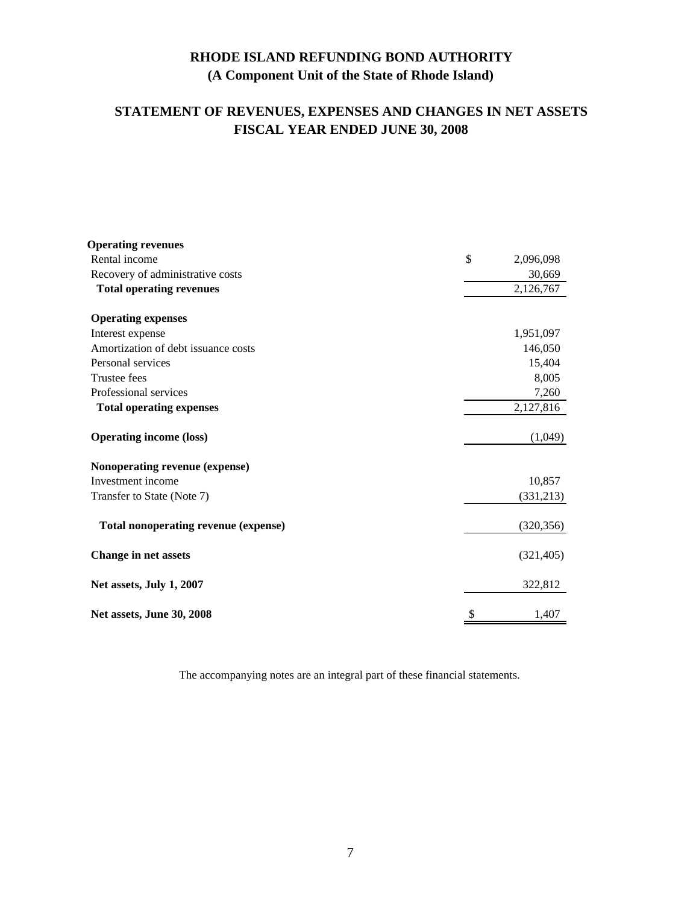## **STATEMENT OF REVENUES, EXPENSES AND CHANGES IN NET ASSETS FISCAL YEAR ENDED JUNE 30, 2008**

| <b>Operating revenues</b>            |                 |
|--------------------------------------|-----------------|
| Rental income                        | \$<br>2,096,098 |
| Recovery of administrative costs     | 30,669          |
| <b>Total operating revenues</b>      | 2,126,767       |
| <b>Operating expenses</b>            |                 |
| Interest expense                     | 1,951,097       |
| Amortization of debt issuance costs  | 146,050         |
| Personal services                    | 15,404          |
| <b>Trustee fees</b>                  | 8,005           |
| Professional services                | 7,260           |
| <b>Total operating expenses</b>      | 2,127,816       |
| <b>Operating income (loss)</b>       | (1,049)         |
| Nonoperating revenue (expense)       |                 |
| Investment income                    | 10,857          |
| Transfer to State (Note 7)           | (331,213)       |
| Total nonoperating revenue (expense) | (320, 356)      |
| <b>Change in net assets</b>          | (321, 405)      |
| Net assets, July 1, 2007             | 322,812         |
| Net assets, June 30, 2008            | \$<br>1,407     |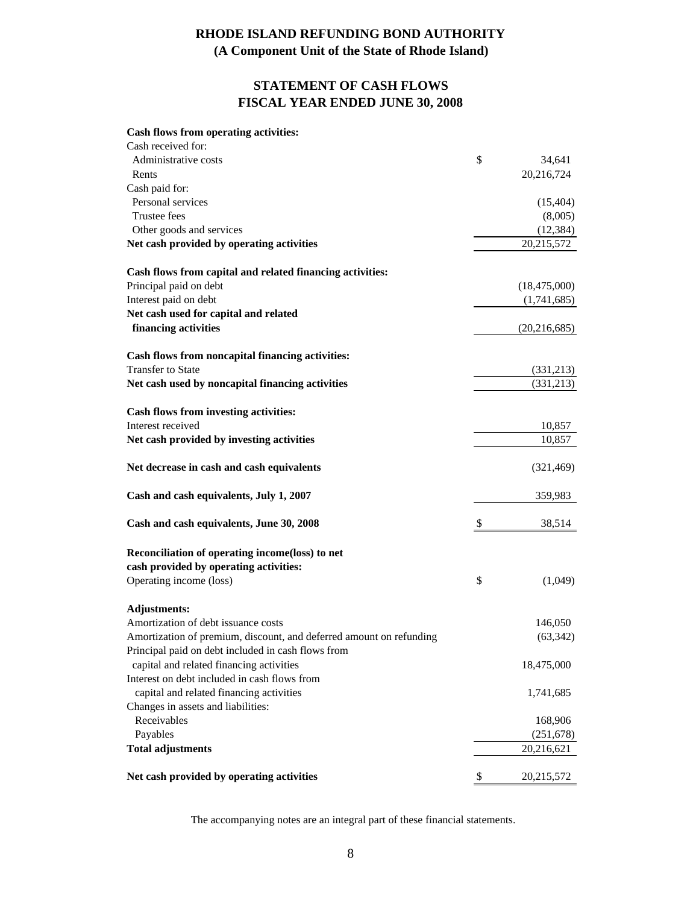## **(A Component Unit of the State of Rhode Island)**

## **STATEMENT OF CASH FLOWS FISCAL YEAR ENDED JUNE 30, 2008**

#### **Cash flows from operating activities:**

| Cash received for:                                                  |                  |
|---------------------------------------------------------------------|------------------|
| Administrative costs                                                | \$<br>34,641     |
| Rents                                                               | 20,216,724       |
| Cash paid for:                                                      |                  |
| Personal services                                                   | (15, 404)        |
| Trustee fees                                                        | (8,005)          |
| Other goods and services                                            | (12, 384)        |
| Net cash provided by operating activities                           | 20,215,572       |
| Cash flows from capital and related financing activities:           |                  |
| Principal paid on debt                                              | (18, 475, 000)   |
| Interest paid on debt                                               | (1,741,685)      |
| Net cash used for capital and related                               |                  |
| financing activities                                                | (20, 216, 685)   |
| Cash flows from noncapital financing activities:                    |                  |
| <b>Transfer to State</b>                                            | (331,213)        |
| Net cash used by noncapital financing activities                    | (331,213)        |
| Cash flows from investing activities:                               |                  |
| Interest received                                                   | 10,857           |
| Net cash provided by investing activities                           | 10,857           |
| Net decrease in cash and cash equivalents                           | (321, 469)       |
| Cash and cash equivalents, July 1, 2007                             | 359,983          |
| Cash and cash equivalents, June 30, 2008                            | \$<br>38,514     |
| Reconciliation of operating income(loss) to net                     |                  |
| cash provided by operating activities:                              |                  |
| Operating income (loss)                                             | \$<br>(1,049)    |
| <b>Adjustments:</b>                                                 |                  |
| Amortization of debt issuance costs                                 | 146,050          |
| Amortization of premium, discount, and deferred amount on refunding | (63, 342)        |
| Principal paid on debt included in cash flows from                  |                  |
| capital and related financing activities                            | 18,475,000       |
| Interest on debt included in cash flows from                        |                  |
| capital and related financing activities                            | 1,741,685        |
| Changes in assets and liabilities:                                  |                  |
| Receivables                                                         | 168,906          |
| Payables                                                            | (251, 678)       |
| <b>Total adjustments</b>                                            | 20,216,621       |
| Net cash provided by operating activities                           | \$<br>20,215,572 |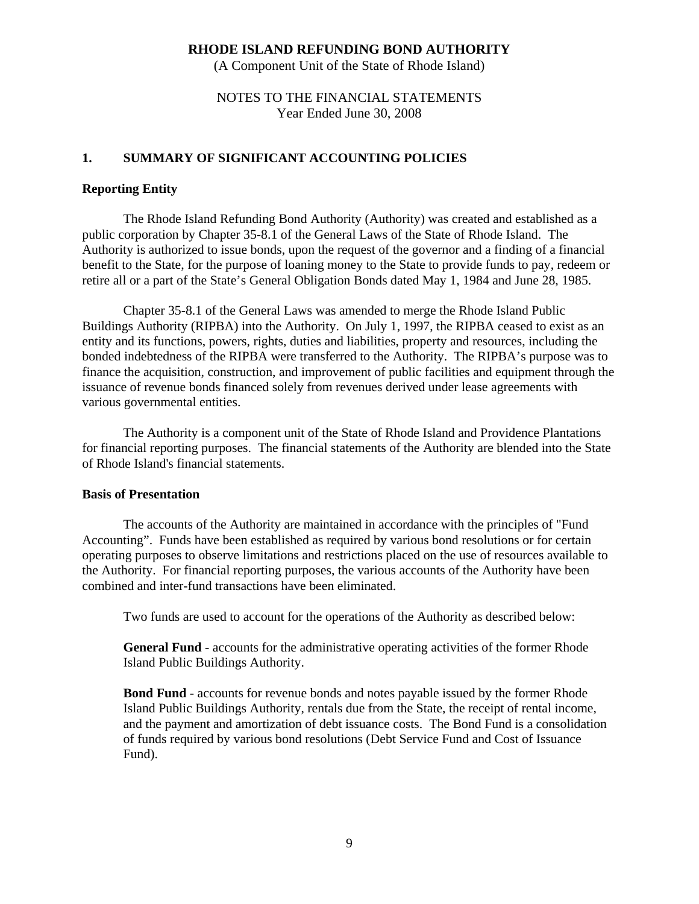(A Component Unit of the State of Rhode Island)

## NOTES TO THE FINANCIAL STATEMENTS Year Ended June 30, 2008

## **1. SUMMARY OF SIGNIFICANT ACCOUNTING POLICIES**

### **Reporting Entity**

The Rhode Island Refunding Bond Authority (Authority) was created and established as a public corporation by Chapter 35-8.1 of the General Laws of the State of Rhode Island. The Authority is authorized to issue bonds, upon the request of the governor and a finding of a financial benefit to the State, for the purpose of loaning money to the State to provide funds to pay, redeem or retire all or a part of the State's General Obligation Bonds dated May 1, 1984 and June 28, 1985.

Chapter 35-8.1 of the General Laws was amended to merge the Rhode Island Public Buildings Authority (RIPBA) into the Authority. On July 1, 1997, the RIPBA ceased to exist as an entity and its functions, powers, rights, duties and liabilities, property and resources, including the bonded indebtedness of the RIPBA were transferred to the Authority. The RIPBA's purpose was to finance the acquisition, construction, and improvement of public facilities and equipment through the issuance of revenue bonds financed solely from revenues derived under lease agreements with various governmental entities.

 The Authority is a component unit of the State of Rhode Island and Providence Plantations for financial reporting purposes. The financial statements of the Authority are blended into the State of Rhode Island's financial statements.

#### **Basis of Presentation**

The accounts of the Authority are maintained in accordance with the principles of "Fund Accounting". Funds have been established as required by various bond resolutions or for certain operating purposes to observe limitations and restrictions placed on the use of resources available to the Authority. For financial reporting purposes, the various accounts of the Authority have been combined and inter-fund transactions have been eliminated.

Two funds are used to account for the operations of the Authority as described below:

 **General Fund** - accounts for the administrative operating activities of the former Rhode Island Public Buildings Authority.

 **Bond Fund** - accounts for revenue bonds and notes payable issued by the former Rhode Island Public Buildings Authority, rentals due from the State, the receipt of rental income, and the payment and amortization of debt issuance costs. The Bond Fund is a consolidation of funds required by various bond resolutions (Debt Service Fund and Cost of Issuance Fund).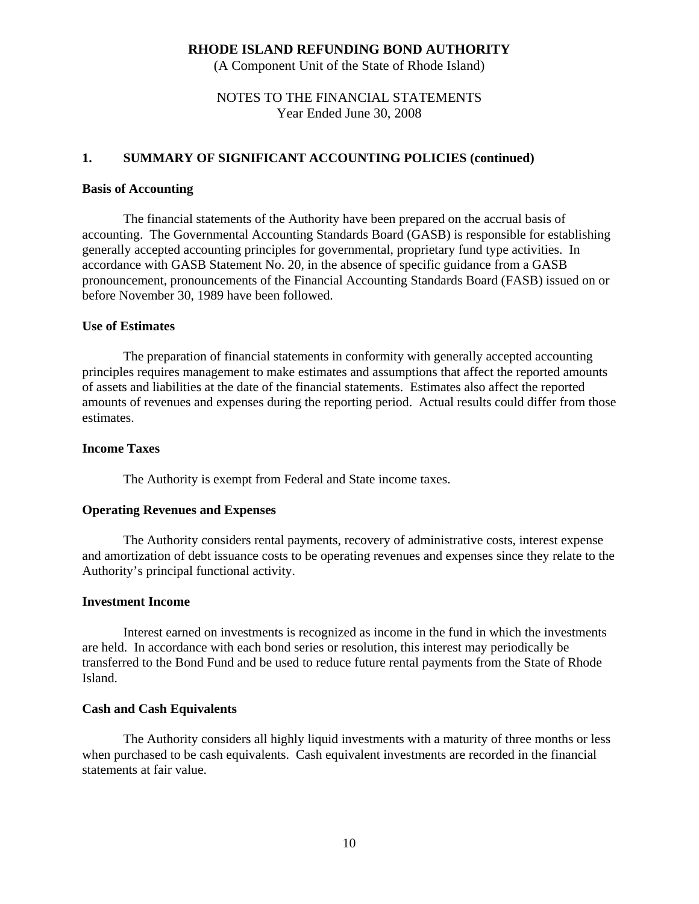(A Component Unit of the State of Rhode Island)

## NOTES TO THE FINANCIAL STATEMENTS Year Ended June 30, 2008

### **1. SUMMARY OF SIGNIFICANT ACCOUNTING POLICIES (continued)**

#### **Basis of Accounting**

The financial statements of the Authority have been prepared on the accrual basis of accounting. The Governmental Accounting Standards Board (GASB) is responsible for establishing generally accepted accounting principles for governmental, proprietary fund type activities. In accordance with GASB Statement No. 20, in the absence of specific guidance from a GASB pronouncement, pronouncements of the Financial Accounting Standards Board (FASB) issued on or before November 30, 1989 have been followed.

#### **Use of Estimates**

 The preparation of financial statements in conformity with generally accepted accounting principles requires management to make estimates and assumptions that affect the reported amounts of assets and liabilities at the date of the financial statements. Estimates also affect the reported amounts of revenues and expenses during the reporting period. Actual results could differ from those estimates.

## **Income Taxes**

The Authority is exempt from Federal and State income taxes.

#### **Operating Revenues and Expenses**

The Authority considers rental payments, recovery of administrative costs, interest expense and amortization of debt issuance costs to be operating revenues and expenses since they relate to the Authority's principal functional activity.

#### **Investment Income**

Interest earned on investments is recognized as income in the fund in which the investments are held. In accordance with each bond series or resolution, this interest may periodically be transferred to the Bond Fund and be used to reduce future rental payments from the State of Rhode Island.

#### **Cash and Cash Equivalents**

 The Authority considers all highly liquid investments with a maturity of three months or less when purchased to be cash equivalents. Cash equivalent investments are recorded in the financial statements at fair value.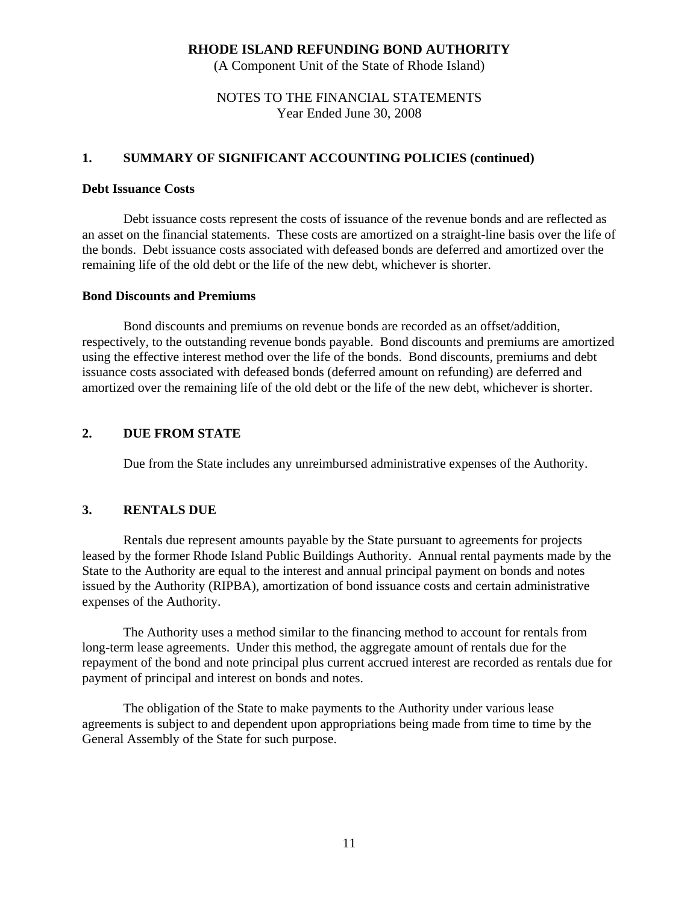(A Component Unit of the State of Rhode Island)

## NOTES TO THE FINANCIAL STATEMENTS Year Ended June 30, 2008

## **1. SUMMARY OF SIGNIFICANT ACCOUNTING POLICIES (continued)**

#### **Debt Issuance Costs**

 Debt issuance costs represent the costs of issuance of the revenue bonds and are reflected as an asset on the financial statements. These costs are amortized on a straight-line basis over the life of the bonds. Debt issuance costs associated with defeased bonds are deferred and amortized over the remaining life of the old debt or the life of the new debt, whichever is shorter.

#### **Bond Discounts and Premiums**

 Bond discounts and premiums on revenue bonds are recorded as an offset/addition, respectively, to the outstanding revenue bonds payable. Bond discounts and premiums are amortized using the effective interest method over the life of the bonds. Bond discounts, premiums and debt issuance costs associated with defeased bonds (deferred amount on refunding) are deferred and amortized over the remaining life of the old debt or the life of the new debt, whichever is shorter.

### **2. DUE FROM STATE**

Due from the State includes any unreimbursed administrative expenses of the Authority.

### **3. RENTALS DUE**

Rentals due represent amounts payable by the State pursuant to agreements for projects leased by the former Rhode Island Public Buildings Authority. Annual rental payments made by the State to the Authority are equal to the interest and annual principal payment on bonds and notes issued by the Authority (RIPBA), amortization of bond issuance costs and certain administrative expenses of the Authority.

The Authority uses a method similar to the financing method to account for rentals from long-term lease agreements. Under this method, the aggregate amount of rentals due for the repayment of the bond and note principal plus current accrued interest are recorded as rentals due for payment of principal and interest on bonds and notes.

The obligation of the State to make payments to the Authority under various lease agreements is subject to and dependent upon appropriations being made from time to time by the General Assembly of the State for such purpose.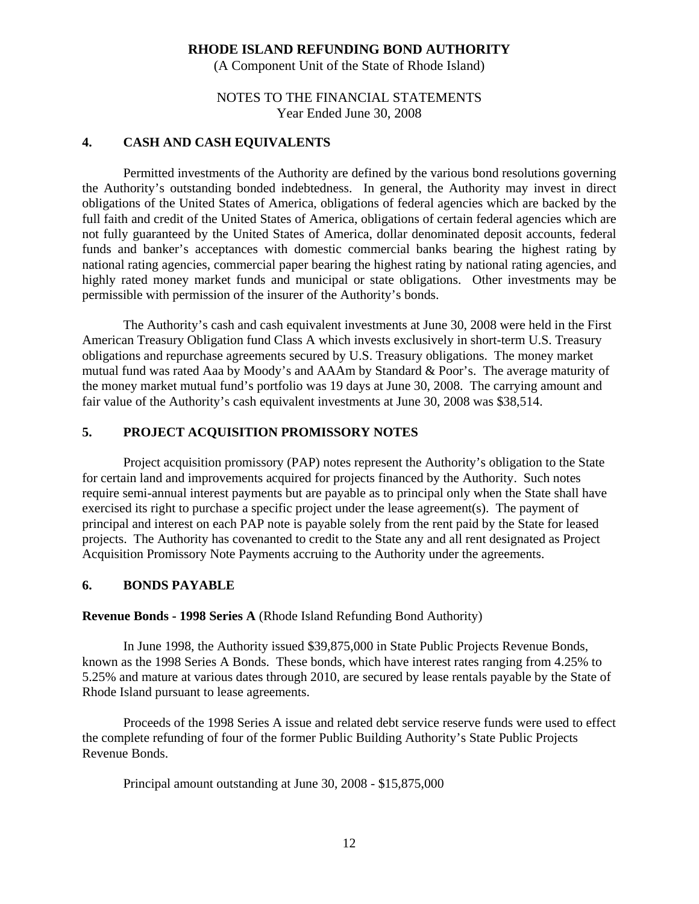(A Component Unit of the State of Rhode Island)

## NOTES TO THE FINANCIAL STATEMENTS Year Ended June 30, 2008

### **4. CASH AND CASH EQUIVALENTS**

Permitted investments of the Authority are defined by the various bond resolutions governing the Authority's outstanding bonded indebtedness. In general, the Authority may invest in direct obligations of the United States of America, obligations of federal agencies which are backed by the full faith and credit of the United States of America, obligations of certain federal agencies which are not fully guaranteed by the United States of America, dollar denominated deposit accounts, federal funds and banker's acceptances with domestic commercial banks bearing the highest rating by national rating agencies, commercial paper bearing the highest rating by national rating agencies, and highly rated money market funds and municipal or state obligations. Other investments may be permissible with permission of the insurer of the Authority's bonds.

The Authority's cash and cash equivalent investments at June 30, 2008 were held in the First American Treasury Obligation fund Class A which invests exclusively in short-term U.S. Treasury obligations and repurchase agreements secured by U.S. Treasury obligations. The money market mutual fund was rated Aaa by Moody's and AAAm by Standard & Poor's. The average maturity of the money market mutual fund's portfolio was 19 days at June 30, 2008. The carrying amount and fair value of the Authority's cash equivalent investments at June 30, 2008 was \$38,514.

## **5. PROJECT ACQUISITION PROMISSORY NOTES**

 Project acquisition promissory (PAP) notes represent the Authority's obligation to the State for certain land and improvements acquired for projects financed by the Authority. Such notes require semi-annual interest payments but are payable as to principal only when the State shall have exercised its right to purchase a specific project under the lease agreement(s). The payment of principal and interest on each PAP note is payable solely from the rent paid by the State for leased projects. The Authority has covenanted to credit to the State any and all rent designated as Project Acquisition Promissory Note Payments accruing to the Authority under the agreements.

#### **6. BONDS PAYABLE**

**Revenue Bonds - 1998 Series A** (Rhode Island Refunding Bond Authority)

 In June 1998, the Authority issued \$39,875,000 in State Public Projects Revenue Bonds, known as the 1998 Series A Bonds. These bonds, which have interest rates ranging from 4.25% to 5.25% and mature at various dates through 2010, are secured by lease rentals payable by the State of Rhode Island pursuant to lease agreements.

 Proceeds of the 1998 Series A issue and related debt service reserve funds were used to effect the complete refunding of four of the former Public Building Authority's State Public Projects Revenue Bonds.

Principal amount outstanding at June 30, 2008 - \$15,875,000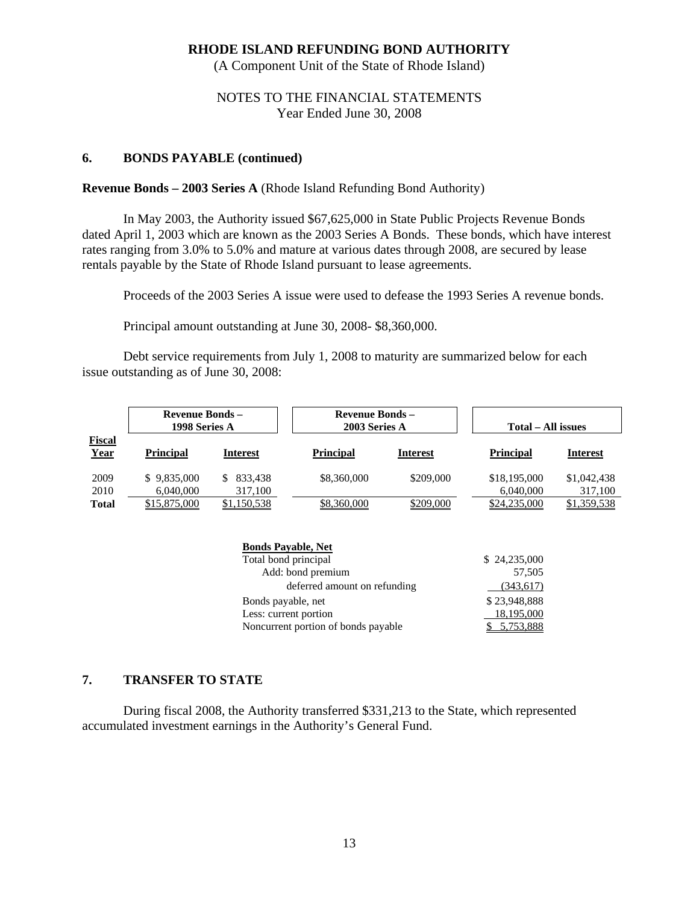(A Component Unit of the State of Rhode Island)

## NOTES TO THE FINANCIAL STATEMENTS Year Ended June 30, 2008

## **6. BONDS PAYABLE (continued)**

#### **Revenue Bonds – 2003 Series A** (Rhode Island Refunding Bond Authority)

In May 2003, the Authority issued \$67,625,000 in State Public Projects Revenue Bonds dated April 1, 2003 which are known as the 2003 Series A Bonds. These bonds, which have interest rates ranging from 3.0% to 5.0% and mature at various dates through 2008, are secured by lease rentals payable by the State of Rhode Island pursuant to lease agreements.

Proceeds of the 2003 Series A issue were used to defease the 1993 Series A revenue bonds.

Principal amount outstanding at June 30, 2008- \$8,360,000.

Debt service requirements from July 1, 2008 to maturity are summarized below for each issue outstanding as of June 30, 2008:

|                       | <b>Revenue Bonds –</b><br>1998 Series A |                          | <b>Revenue Bonds –</b><br>2003 Series A |                 | Total – All issues        |                        |  |
|-----------------------|-----------------------------------------|--------------------------|-----------------------------------------|-----------------|---------------------------|------------------------|--|
| <b>Fiscal</b><br>Year | <b>Principal</b>                        | <b>Interest</b>          | <b>Principal</b>                        | <b>Interest</b> | <b>Principal</b>          | <b>Interest</b>        |  |
| 2009<br>2010          | \$9,835,000<br>6,040,000                | 833.438<br>S.<br>317,100 | \$8,360,000                             | \$209,000       | \$18,195,000<br>6,040,000 | \$1,042,438<br>317,100 |  |
| <b>Total</b>          | \$15,875,000                            | \$1,150,538              | \$8,360,000                             | \$209,000       | \$24,235,000              | \$1,359,538            |  |

| <b>Bonds Payable, Net</b>           |              |
|-------------------------------------|--------------|
| Total bond principal                | \$24,235,000 |
| Add: bond premium                   | 57,505       |
| deferred amount on refunding        | (343, 617)   |
| Bonds payable, net                  | \$23,948,888 |
| Less: current portion               | 18,195,000   |
| Noncurrent portion of bonds payable | \$5,753,888  |

## **7. TRANSFER TO STATE**

During fiscal 2008, the Authority transferred \$331,213 to the State, which represented accumulated investment earnings in the Authority's General Fund.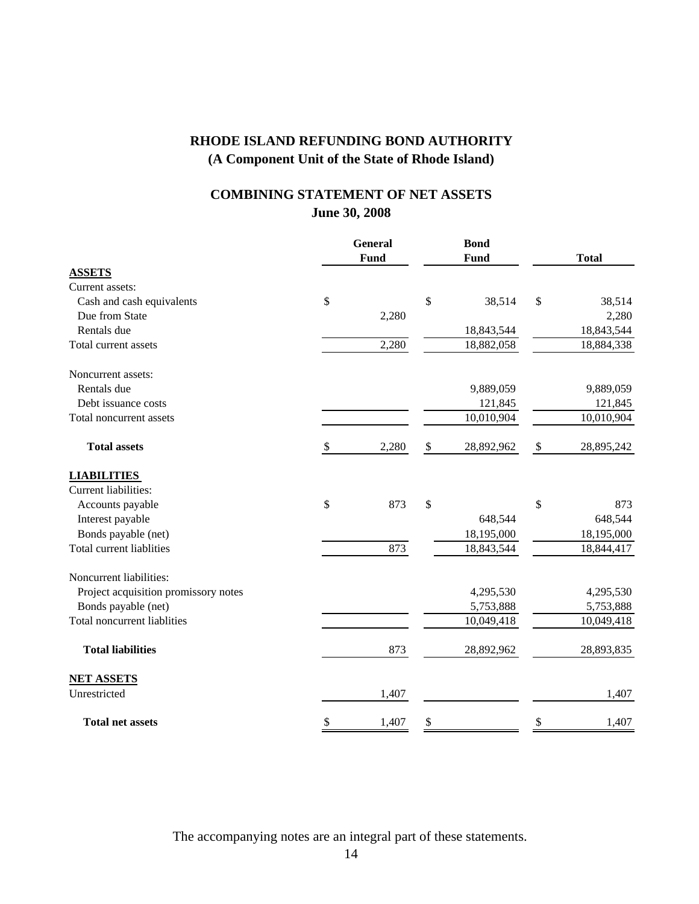## **June 30, 2008 COMBINING STATEMENT OF NET ASSETS**

|                                      | <b>General</b><br><b>Bond</b> |       |                  |                  |
|--------------------------------------|-------------------------------|-------|------------------|------------------|
|                                      |                               | Fund  | <b>Fund</b>      | <b>Total</b>     |
| <b>ASSETS</b>                        |                               |       |                  |                  |
| Current assets:                      |                               |       |                  |                  |
| Cash and cash equivalents            | \$                            |       | \$<br>38,514     | \$<br>38,514     |
| Due from State                       |                               | 2,280 |                  | 2,280            |
| Rentals due                          |                               |       | 18,843,544       | 18,843,544       |
| Total current assets                 |                               | 2,280 | 18,882,058       | 18,884,338       |
| Noncurrent assets:                   |                               |       |                  |                  |
| Rentals due                          |                               |       | 9,889,059        | 9,889,059        |
| Debt issuance costs                  |                               |       | 121,845          | 121,845          |
| Total noncurrent assets              |                               |       | 10,010,904       | 10,010,904       |
| <b>Total assets</b>                  | \$                            | 2,280 | \$<br>28,892,962 | \$<br>28,895,242 |
| <b>LIABILITIES</b>                   |                               |       |                  |                  |
| Current liabilities:                 |                               |       |                  |                  |
| Accounts payable                     | \$                            | 873   | \$               | \$<br>873        |
| Interest payable                     |                               |       | 648,544          | 648,544          |
| Bonds payable (net)                  |                               |       | 18,195,000       | 18,195,000       |
| Total current liablities             |                               | 873   | 18,843,544       | 18,844,417       |
| Noncurrent liabilities:              |                               |       |                  |                  |
| Project acquisition promissory notes |                               |       | 4,295,530        | 4,295,530        |
| Bonds payable (net)                  |                               |       | 5,753,888        | 5,753,888        |
| Total noncurrent liablities          |                               |       | 10,049,418       | 10,049,418       |
| <b>Total liabilities</b>             |                               | 873   | 28,892,962       | 28,893,835       |
| <b>NET ASSETS</b>                    |                               |       |                  |                  |
| Unrestricted                         |                               | 1,407 |                  | 1,407            |
| <b>Total net assets</b>              | \$                            | 1,407 | \$               | \$<br>1,407      |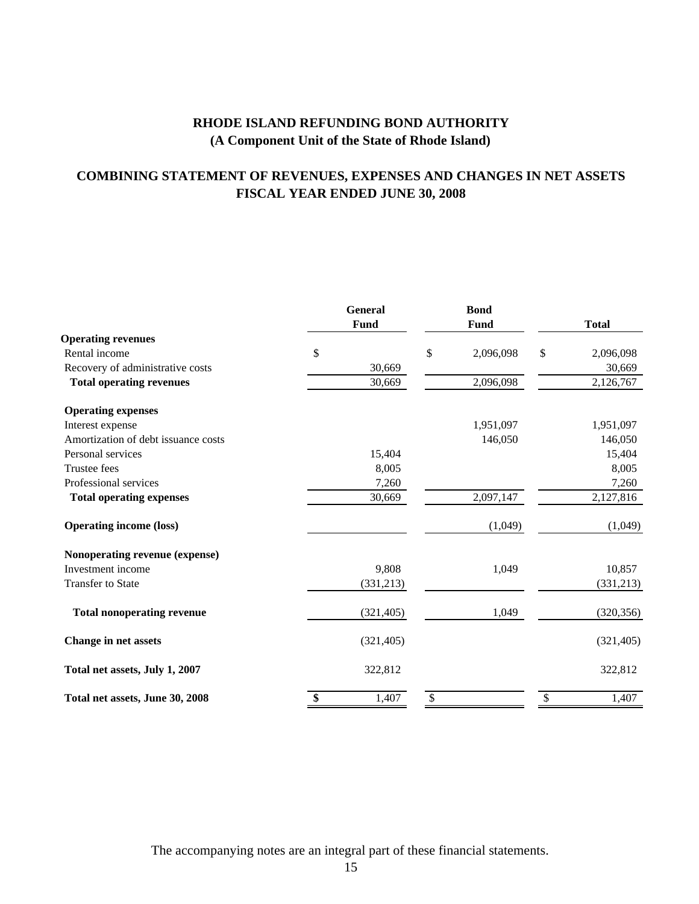## **COMBINING STATEMENT OF REVENUES, EXPENSES AND CHANGES IN NET ASSETS FISCAL YEAR ENDED JUNE 30, 2008**

|                                     | <b>General</b> | <b>Bond</b>     |                 |
|-------------------------------------|----------------|-----------------|-----------------|
|                                     | <b>Fund</b>    | Fund            | <b>Total</b>    |
| <b>Operating revenues</b>           |                |                 |                 |
| Rental income                       | \$             | \$<br>2,096,098 | \$<br>2,096,098 |
| Recovery of administrative costs    | 30,669         |                 | 30,669          |
| <b>Total operating revenues</b>     | 30,669         | 2,096,098       | 2,126,767       |
| <b>Operating expenses</b>           |                |                 |                 |
| Interest expense                    |                | 1,951,097       | 1,951,097       |
| Amortization of debt issuance costs |                | 146,050         | 146,050         |
| Personal services                   | 15,404         |                 | 15,404          |
| Trustee fees                        | 8,005          |                 | 8,005           |
| Professional services               | 7,260          |                 | 7,260           |
| <b>Total operating expenses</b>     | 30,669         | 2,097,147       | 2,127,816       |
| <b>Operating income (loss)</b>      |                | (1,049)         | (1,049)         |
| Nonoperating revenue (expense)      |                |                 |                 |
| Investment income                   | 9,808          | 1,049           | 10,857          |
| <b>Transfer to State</b>            | (331,213)      |                 | (331, 213)      |
| <b>Total nonoperating revenue</b>   | (321, 405)     | 1,049           | (320, 356)      |
| Change in net assets                | (321, 405)     |                 | (321, 405)      |
| Total net assets, July 1, 2007      | 322,812        |                 | 322,812         |
| Total net assets, June 30, 2008     | \$<br>1,407    | \$              | \$<br>1,407     |